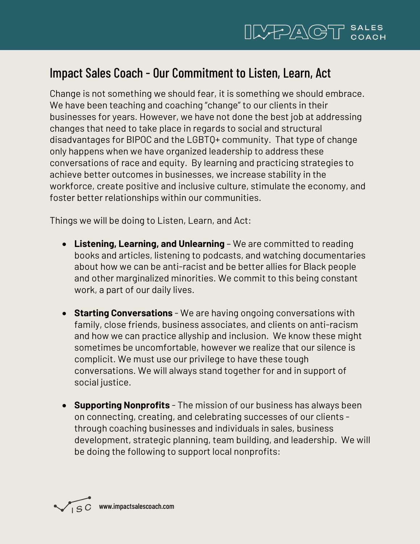## Impact Sales Coach - Our Commitment to Listen, Learn, Act

Change is not something we should fear, it is something we should embrace. We have been teaching and coaching "change" to our clients in their businesses for years. However, we have not done the best job at addressing changes that need to take place in regards to social and structural disadvantages for BIPOC and the LGBTQ+ community. That type of change only happens when we have organized leadership to address these conversations of race and equity. By learning and practicing strategies to achieve better outcomes in businesses, we increase stability in the workforce, create positive and inclusive culture, stimulate the economy, and foster better relationships within our communities.

Things we will be doing to Listen, Learn, and Act:

- **Listening, Learning, and Unlearning** We are committed to reading books and articles, listening to podcasts, and watching documentaries about how we can be anti-racist and be better allies for Black people and other marginalized minorities. We commit to this being constant work, a part of our daily lives.
- **Starting Conversations** We are having ongoing conversations with family, close friends, business associates, and clients on anti-racism and how we can practice allyship and inclusion. We know these might sometimes be uncomfortable, however we realize that our silence is complicit. We must use our privilege to have these tough conversations. We will always stand together for and in support of social justice.
- **Supporting Nonprofits** The mission of our business has always been on connecting, creating, and celebrating successes of our clients through coaching businesses and individuals in sales, business development, strategic planning, team building, and leadership. We will be doing the following to support local nonprofits: